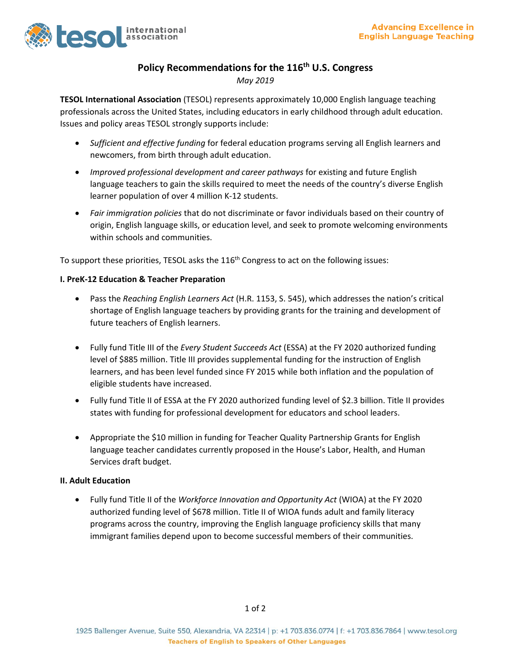

# **Policy Recommendations for the 116 th U.S. Congress**

*May 2019*

**TESOL International Association** (TESOL) represents approximately 10,000 English language teaching professionals across the United States, including educators in early childhood through adult education. Issues and policy areas TESOL strongly supports include:

- *Sufficient and effective funding* for federal education programs serving all English learners and newcomers, from birth through adult education.
- *Improved professional development and career pathways* for existing and future English language teachers to gain the skills required to meet the needs of the country's diverse English learner population of over 4 million K-12 students.
- *Fair immigration policies* that do not discriminate or favor individuals based on their country of origin, English language skills, or education level, and seek to promote welcoming environments within schools and communities.

To support these priorities, TESOL asks the 116<sup>th</sup> Congress to act on the following issues:

#### **I. PreK-12 Education & Teacher Preparation**

- Pass the *Reaching English Learners Act* (H.R. 1153, S. 545), which addresses the nation's critical shortage of English language teachers by providing grants for the training and development of future teachers of English learners.
- Fully fund Title III of the *Every Student Succeeds Act* (ESSA) at the FY 2020 authorized funding level of \$885 million. Title III provides supplemental funding for the instruction of English learners, and has been level funded since FY 2015 while both inflation and the population of eligible students have increased.
- Fully fund Title II of ESSA at the FY 2020 authorized funding level of \$2.3 billion. Title II provides states with funding for professional development for educators and school leaders.
- Appropriate the \$10 million in funding for Teacher Quality Partnership Grants for English language teacher candidates currently proposed in the House's Labor, Health, and Human Services draft budget.

### **II. Adult Education**

• Fully fund Title II of the *Workforce Innovation and Opportunity Act* (WIOA) at the FY 2020 authorized funding level of \$678 million. Title II of WIOA funds adult and family literacy programs across the country, improving the English language proficiency skills that many immigrant families depend upon to become successful members of their communities.